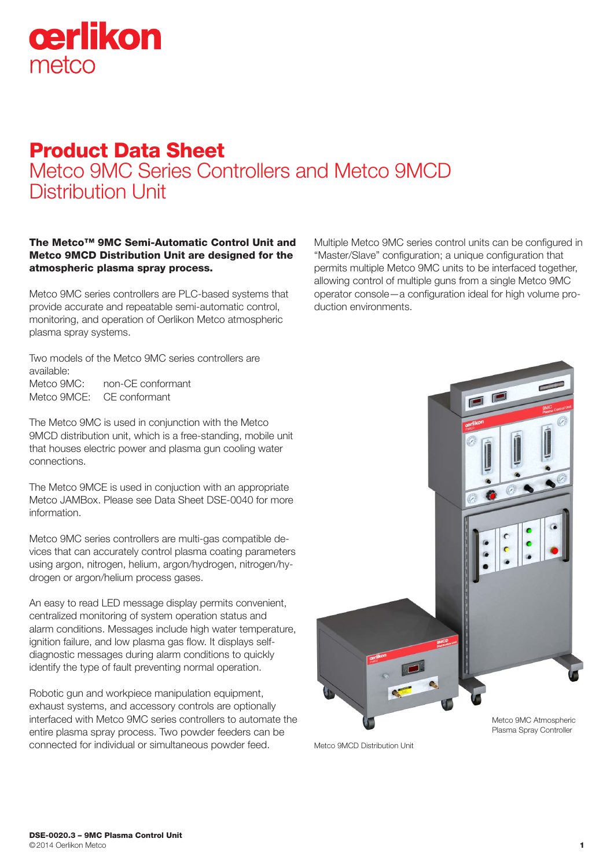

# Product Data Sheet Metco 9MC Series Controllers and Metco 9MCD Distribution Unit

The Metco™ 9MC Semi-Automatic Control Unit and Metco 9MCD Distribution Unit are designed for the atmospheric plasma spray process.

Metco 9MC series controllers are PLC-based systems that provide accurate and repeatable semi-automatic control, monitoring, and operation of Oerlikon Metco atmospheric plasma spray systems.

Two models of the Metco 9MC series controllers are available:

Metco 9MC: non-CE conformant Metco 9MCE: CE conformant

The Metco 9MC is used in conjunction with the Metco 9MCD distribution unit, which is a free-standing, mobile unit that houses electric power and plasma gun cooling water connections.

The Metco 9MCE is used in conjuction with an appropriate Metco JAMBox. Please see Data Sheet DSE-0040 for more information.

Metco 9MC series controllers are multi-gas compatible devices that can accurately control plasma coating parameters using argon, nitrogen, helium, argon/hydrogen, nitrogen/hydrogen or argon/helium process gases.

An easy to read LED message display permits convenient, centralized monitoring of system operation status and alarm conditions. Messages include high water temperature, ignition failure, and low plasma gas flow. It displays selfdiagnostic messages during alarm conditions to quickly identify the type of fault preventing normal operation.

Robotic gun and workpiece manipulation equipment, exhaust systems, and accessory controls are optionally interfaced with Metco 9MC series controllers to automate the entire plasma spray process. Two powder feeders can be connected for individual or simultaneous powder feed.

Multiple Metco 9MC series control units can be configured in "Master/Slave" configuration; a unique configuration that permits multiple Metco 9MC units to be interfaced together, allowing control of multiple guns from a single Metco 9MC operator console—a configuration ideal for high volume production environments.



Metco 9MCD Distribution LInit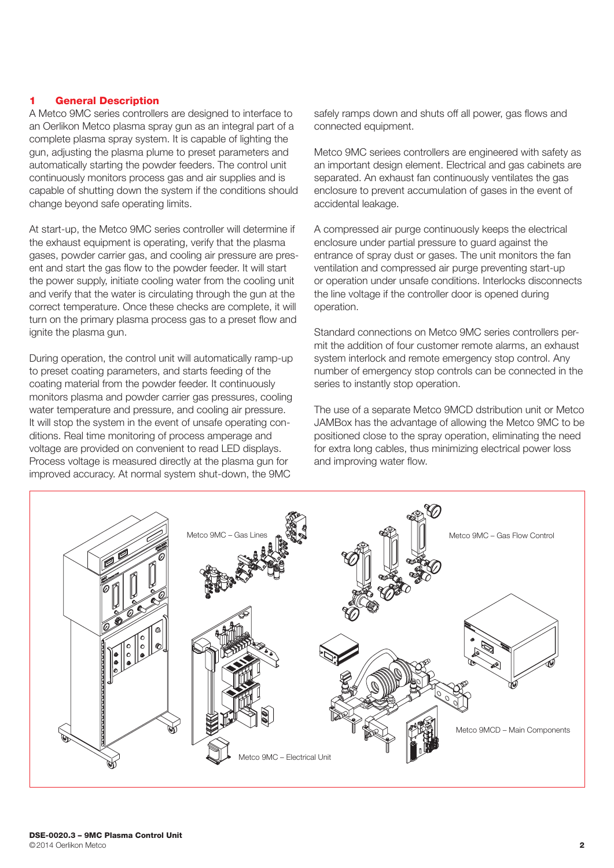#### 1 General Description

A Metco 9MC series controllers are designed to interface to an Oerlikon Metco plasma spray gun as an integral part of a complete plasma spray system. It is capable of lighting the gun, adjusting the plasma plume to preset parameters and automatically starting the powder feeders. The control unit continuously monitors process gas and air supplies and is capable of shutting down the system if the conditions should change beyond safe operating limits.

At start-up, the Metco 9MC series controller will determine if the exhaust equipment is operating, verify that the plasma gases, powder carrier gas, and cooling air pressure are present and start the gas flow to the powder feeder. It will start the power supply, initiate cooling water from the cooling unit and verify that the water is circulating through the gun at the correct temperature. Once these checks are complete, it will turn on the primary plasma process gas to a preset flow and ignite the plasma gun.

During operation, the control unit will automatically ramp-up to preset coating parameters, and starts feeding of the coating material from the powder feeder. It continuously monitors plasma and powder carrier gas pressures, cooling water temperature and pressure, and cooling air pressure. It will stop the system in the event of unsafe operating conditions. Real time monitoring of process amperage and voltage are provided on convenient to read LED displays. Process voltage is measured directly at the plasma gun for improved accuracy. At normal system shut-down, the 9MC

safely ramps down and shuts off all power, gas flows and connected equipment.

Metco 9MC seriees controllers are engineered with safety as an important design element. Electrical and gas cabinets are separated. An exhaust fan continuously ventilates the gas enclosure to prevent accumulation of gases in the event of accidental leakage.

A compressed air purge continuously keeps the electrical enclosure under partial pressure to guard against the entrance of spray dust or gases. The unit monitors the fan ventilation and compressed air purge preventing start-up or operation under unsafe conditions. Interlocks disconnects the line voltage if the controller door is opened during operation.

Standard connections on Metco 9MC series controllers permit the addition of four customer remote alarms, an exhaust system interlock and remote emergency stop control. Any number of emergency stop controls can be connected in the series to instantly stop operation.

The use of a separate Metco 9MCD dstribution unit or Metco JAMBox has the advantage of allowing the Metco 9MC to be positioned close to the spray operation, eliminating the need for extra long cables, thus minimizing electrical power loss and improving water flow.

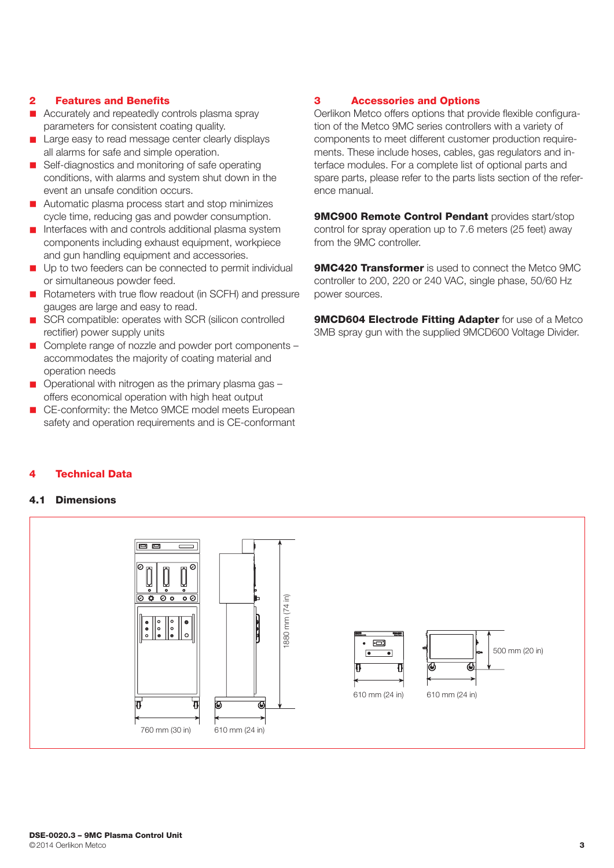#### 2 Features and Benefits

- $\blacksquare$  Accurately and repeatedly controls plasma spray parameters for consistent coating quality.
- Large easy to read message center clearly displays all alarms for safe and simple operation.
- Self-diagnostics and monitoring of safe operating conditions, with alarms and system shut down in the event an unsafe condition occurs.
- **n** Automatic plasma process start and stop minimizes cycle time, reducing gas and powder consumption.
- $\blacksquare$  Interfaces with and controls additional plasma system components including exhaust equipment, workpiece and gun handling equipment and accessories.
- **n** Up to two feeders can be connected to permit individual or simultaneous powder feed.
- Rotameters with true flow readout (in SCFH) and pressure gauges are large and easy to read.
- SCR compatible: operates with SCR (silicon controlled rectifier) power supply units
- $\Box$  Complete range of nozzle and powder port components accommodates the majority of coating material and operation needs
- $\Box$  Operational with nitrogen as the primary plasma gas  $$ offers economical operation with high heat output
- CE-conformity: the Metco 9MCE model meets European safety and operation requirements and is CE-conformant

### 3 Accessories and Options

Oerlikon Metco offers options that provide flexible configuration of the Metco 9MC series controllers with a variety of components to meet different customer production requirements. These include hoses, cables, gas regulators and interface modules. For a complete list of optional parts and spare parts, please refer to the parts lists section of the reference manual.

9MC900 Remote Control Pendant provides start/stop control for spray operation up to 7.6 meters (25 feet) away from the 9MC controller.

**9MC420 Transformer** is used to connect the Metco 9MC controller to 200, 220 or 240 VAC, single phase, 50/60 Hz power sources.

**9MCD604 Electrode Fitting Adapter** for use of a Metco 3MB spray gun with the supplied 9MCD600 Voltage Divider.

#### **Technical Data**

#### 4.1 Dimensions